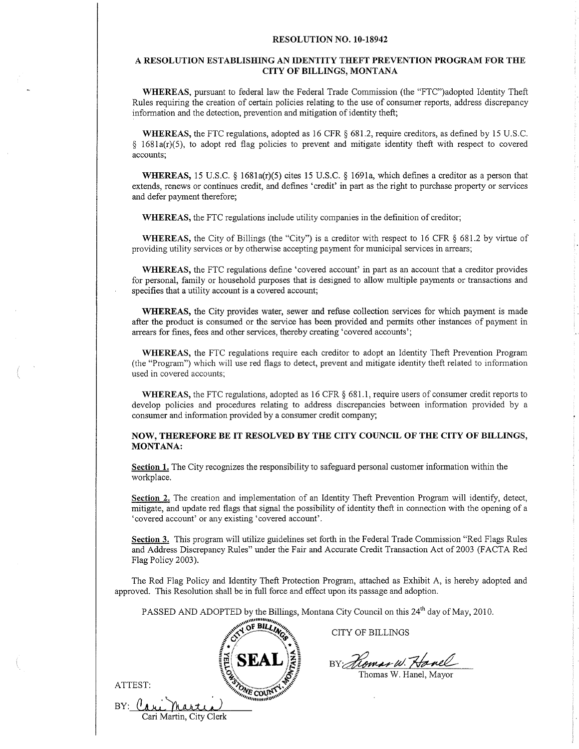#### RESOLUTION NO. 10.18942

## A RESOLUTION ESTABLISHING AN IDENTITY THEF"T PREVENTION PROGRAM FOR THE CITY OF BILLINGS. MONTANA

WHEREAS, pursuant to federal law the Federal Trade Commission (the "FTC")adopted Identity Theft Rules requiring the creation of certain policies relating to the use of consumer reports, address discrepancy information and the detection, prevention and mitigation of identity theft;

WHEREAS, the FTC regulations, adopted as 16 CFR § 681.2, require creditors, as defined by 15 U.S.C. \$ 1681a(r)(5), to adopt red flag policies to prevent and mitigate identity theft with respect to covered accounts;

**WHEREAS,** 15 U.S.C.  $\frac{6}{3}$  1681a(r)(5) cites 15 U.S.C.  $\frac{6}{3}$  1691a, which defines a creditor as a person that extends, renews or continues credit, and defines 'credit' in part as the right to purchase property or services and defer payment therefore;

WHEREAS, the FTC regulations include utility companies in the definition of creditor;

WHEREAS, the City of Billings (the "City") is a creditor with respect to 16 CFR  $\S$  681.2 by virtue of providing utility services or by otherwise accepting payment for municipal services in arrears;

WHEREAS, the FTC regulations define 'covered account' in part as an account that a creditor provides for personal, family or household purposes that is designed to ailow multiple payments or transactions and specifies that a utility account is a covered account;

WHEREAS, the City provides water, sewer and refuse collection services for which payment is made after the product is consumed or the service has been provided and permits other instances of payment in arrears for fines, fees and other services, thereby creating'covered accounts';

WHEREAS, the FTC regulations require each creditor to adopt an Identity Theft Prevention Program (the "Program") which will use red flags to detect, prevent and mitigate identity theft related to information used in covered accounts;

WHEREAS, the FTC regulations, adopted as 16 CFR § 681.1, require users of consumer credit reports to develop policies and procedures relating to address discrepancies between information provided by <sup>a</sup> consumer and information provided by a consumer credit company;

## NOW, THEREFORE BE IT RESOLVED BY THE CITY COUNCIL OF THE CITY OF BILLINGS, MONTANA:

Section 1. The City recognizes the responsibiiity to safeguard personal customer information within the workplace.

Section 2. The creation and implementation of an Identity Theft Prevention Program will identify, detect, mitigate, and update red flags that signal the possibility of identity theft in cornection with the opening of a 'covered account' or any existing'covered account'.

Section 3. This program will utilize guidelines set forth in the Federal Trade Commission "Red Flags Rules and Address Discrepancy Rules" under the Fair and Accurate Credit Transaction Act of 2003 (FACTA Red Flag Policy 2003).

The Red Flag Policy and Identity Theft Protection Program, attached as Exhibit A, is hereby adopted and approved. This Resolution shall be in fuli force and effect upon its passage and adoption.

PASSED AND ADOPTED by the Billings, Montana City Council on this 24<sup>th</sup> day of May, 2010.



ATTEST:

 $BY:$  (

CITY OF BILLINGS

BY: Homan W. Hanel

Thomas W. Hanel, Mayor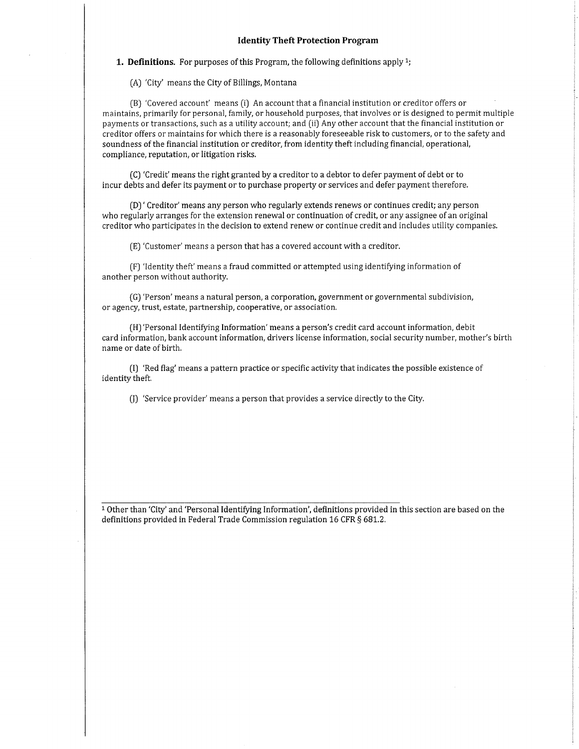#### Identity Theft Protection Program

**1. Definitions.** For purposes of this Program, the following definitions apply  $1$ ;

(Al 'City' means the City of Billings, Montana

[B) 'Covered account' means (i) An account that a financial institution or creditor offers or maintains, primarily for personal, family, or household purposes, that involves or is designed to permit multiple payments or transactions, such as a utility account; and (ii) Any other account that the financial institution or creditor offers or maintains for which there is a reasonably foreseeable risk to customers, or to the safety and soundness of the financial institution or creditor, from identity theft including financial, operational, compliance, reputation, or litigation risks,

(C) 'Credit' means the right granted by a creditor to a debtor to defer payment of debt or to incur debts and defer its payment or to purchase property or seryices and defer payment therefore.

(DJ' Creditor' means any person who regularly extends renews or continues credit; any person who regularly arranges for the extension renewal or continuation of credit, or any assignee of an original creditor who participates in the decision to extend renew or continue credit and includes utility companies.

[E) 'Customer' means a person that has a covered account with a creditor.

(FJ 'ldentity theft' means a fraud committed or attempted using identifying information of another person without authority.

[G) 'Person' means a natural person, a corporation, government or governmental subdivision, or agency, trust, estate, partnership, cooperative, or association.

(H]'Personal Identifying Information'means a person's credit card account information, debit card information, bank account information, drivers license information, social security number, mother's birth name or date of birth.

(l] 'Red flag' means a pattern practice or specific activity that indicates the possible existence of identity theft.

fl) 'Service provider' means a person that provides a service directly to the City.

<sup>1</sup> Other than 'City' and 'Personal Identifying Information', definitions provided in this section are based on the definitions provided in Federal Trade Commission regulation 16 CFR § 681.2.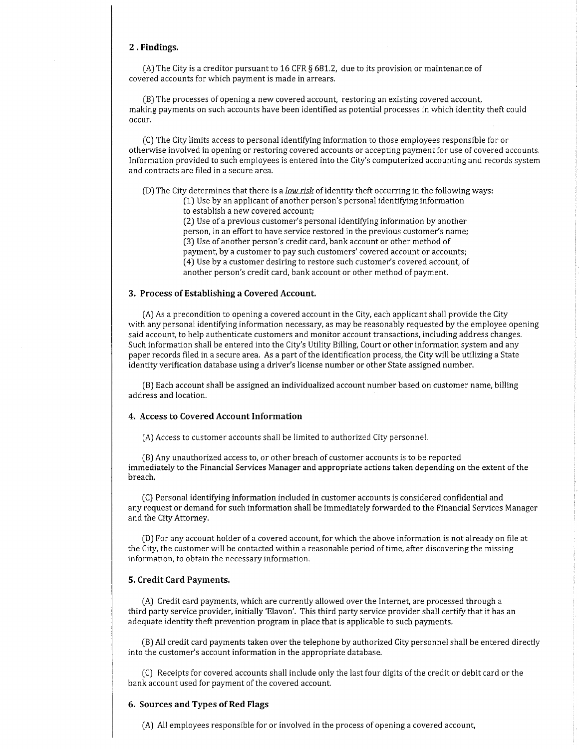#### 2 . Findings.

(A) The City is a creditor pursuant to 16 CFR  $\S$  681.2, due to its provision or maintenance of covered accounts for which payment is made in arrears.

[B) The processes of opening a new covered account, restoring an existing covered account, making payments on such accounts have been identified as potential processes in which identity theft could occur.

ICJ The City limits access to personal identifying information to those employees responsible for or otherwise involved in opening or restoring covered accounts or accepting payment for use of covered accounts. Information provided to such employees is entered into the City's computerized accounting and records system and contracts are filed in a secure area.

(D) The City determines that there is a low risk of identity theft occurring in the following ways: (1) Use by an applicant of another person's personal identifying information to establish a new covered account:

(2) Use of a prevìous customer's personal identifying information by another person, in an effort to have service restored in the previous customer's name; (3J Use of another person's credit card, bank account or other method of payment, by a customer to pay such customers' covered account or accounts; [4) Use by a customer desiring to restore such customer's covered account, of another person's credit card, bank account or other method of payment.

### 3. Process of Establishing a Covered Account.

IAJ As a precondition to opening a covered account in the City, each applicant shall provide the City with any personal identifying information necessary, as may be reasonably requested by the employee opening said account, to help authenticate customers and monitor account transactions, including address changes. Such information shall be entered into the City's Utility Billing, Court or other information system and any paper records filed in a secure area, As a part of the identification process, the City will be utilizing a State identity verification database using a driver's license number or other State assigned number.

(B) Each account shall be assigned an individualized account number based on customer name, billing address and location.

### 4. Access to Covered Account Information

(A) Access to customer accounts shall be limited to authorized City personnel.

(B) Any unauthorized access to, or other breach of customer accounts is to be reported immediately to the Financial Services Manager and appropriate actions taken depending on the extent of the breach.

[CJ Personal identifying information included in customer accounts is considered confidential and any request or demand for such information shall be immediately forwarded to the Financial Services Manager and the City Attorney.

IDJ For any account holder of a covered account, for which the above information is not already on file at the City, the customer will be contacted within a reasonable period of time, after discovering the missing information, to obtain the necessary information.

### 5. Credit Card Payments.

[A) Credit card payments, which are currently allowed over the Internet, are processed through <sup>a</sup> third party service provider, initially'Elavon'. This third party service provider shall certify that it has an adequate identity theft prevention program in place that is applicable to such payments.

(B) All credit card payments taken over the telephone by authorized City personnel shall be entered directly into the customer's account information in the appropriate database.

ICJ Receipts for covered accounts shall include only the last four digits ofthe credit or debit card or the bank account used for payment of the covered account.

#### 6. Sources and Types of Red Flags

(A) All employees responsible for or involved in the process ofopening a covered account,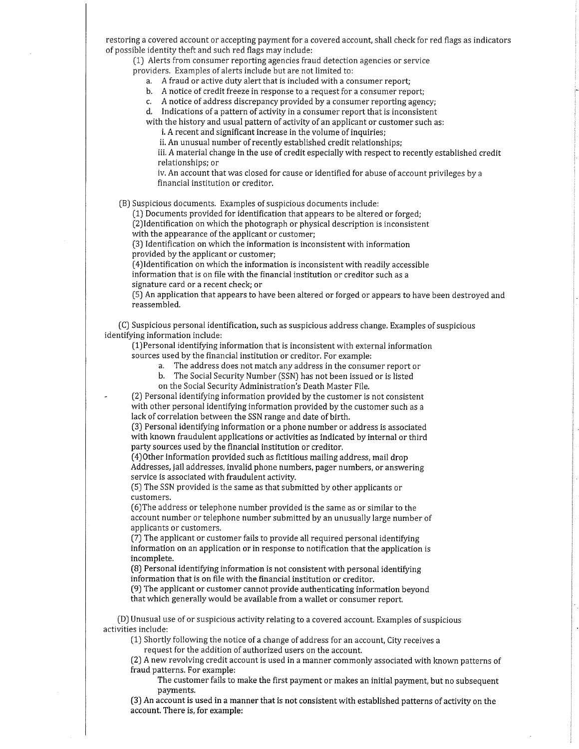restoring a covered account or accepting payment for a covered account, shall check for red flags as indicators of possible identity theft and such red flags may include:

(1) Alerts from consumer reporting agencies fraud detection agencies or service providers. Examples of alerts include but are not limited to:

a. A fraud or active duty alert that is included with a consumer report;

b. A notice of credit freeze in response to a request for a consumer report;

c. A notice of address discrepancy provided by a consumer reporting agency;

d. Indications of a pattern of activity in a consumer report that is inconsistent

with the history and usual pattern of activity of an applicant or customer such as:

i, A recent and significant increase in the volume of inquiries;

ii. An unusual number of recently established credit relationships;

iii. A material change in the use of credit especialìy with respect to recently established credit relationships; or

iv. An account that was closed for cause or identified for abuse of account privileges by <sup>a</sup> financial institution or creditor.

[B) Suspicious documents. Examples of suspicious documents include'

(L) Documents provided for identification that appears to be altered or forged;

(2Jldentification on which the photograph or physical description is inconsistent with the appearance of the applicant or customer;

(3J Identification on which the information is inconsistent with information provided by the applicant or customer;

(4)ldentification on which the information is inconsistent with readily accessible

information that is on file with the financial institution or creditor such as <sup>a</sup>

signature card or a recent check; or

[5) An application that appears to have been altered or forged or appears to have been destroyed and reassembled.

(C) Suspicious personal identification, such as suspicious address change. Examples of suspicious identifying information include:

(1)Personal identifying information that is inconsistent with external information sources used by the financial institution or creditor. For example:

a. The address does not match any address in the consumer report or

b. The Social Security Number (SSN) has not been issued or is listed

on the Social Security Administration's Death Master File.

- (2) Personal identifying information provided by the customer is not consistent with other personal identifying information provided by the customer such as <sup>a</sup> lack of correlation between the SSN range and date of birth.

(3) Personal identifying information or a phone number or address is associated with known fraudulent applications or activities as indicated by internal or third party sources used by the financial institution or creditor,

(4)Other information provided such as fictitious mailing address, mail drop Addresses, jail addresses, invalid phone numbers, pager numbers, or answering service is associated with fraudulent activity.

[5) The SSN provided is the same as that submitted by other applicants or customers.

[6JThe address or telephone number provided is the same as or similar to the account number or telephone number submitted by an unusually large number of applicants or customers.

(7J The applicant or customer fails to provide ail required personal identifying information on an application or in response to notification that the application is incomplete.

(8) Personal identifying information is not consistent with personal identifying information that is on file with the financial institution or creditor.

(9) The applicant or customer cannot provide authenticating information beyond that which generally would be available from a wallet or consumer report.

(D) Unusual use of or suspicious activity relating to a covered account. Examples of suspicious activities include:

(1) Shortly following the notice of a change of address for an account, City receives a request for the addition of authorized users on the account.

[2J A new revolving credit account is used in a manner commonly associated with known patterns of fraud patterns. For example:

The customer fails to make the first payment or makes an initial payment, but no subsequent payments

(3J An account is used in a manner that is not consistent with established patterns of activity on the account, There is, for example: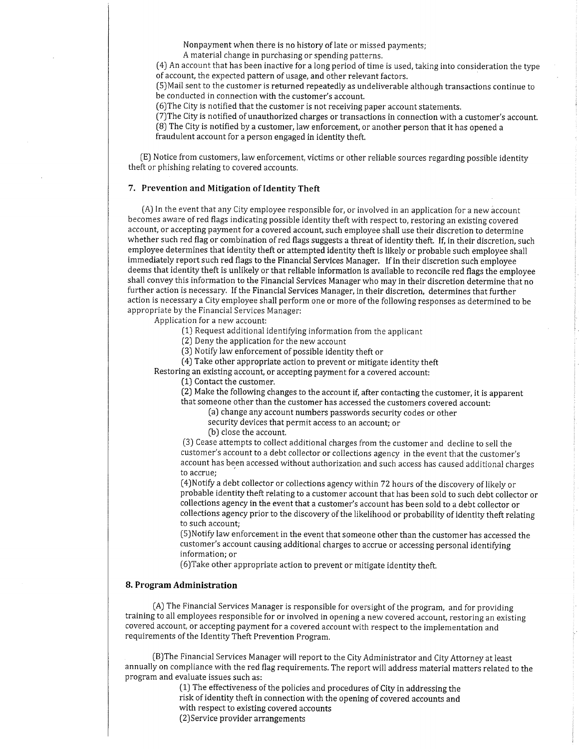Nonpayment when there is no history of late or missed payments;

A material change in purchasing or spending patterns,

(4J An account that has been inactive for a long period of time is used, taking into consideration the type of account, the expected pattern of usage, and other relevant factors.

[5)Mail sent to the customer is returned repeatedly as undeliverable although transactions continue to be conducted in connection with the customer's account.

(6)The City is notified that the customer is not receiving paper account statements.

[7)The City is notified of unauthorized charges or transactions in connection with a customer's account. [8) The City is notified by a customer, law enforcement, or another person that it has opened <sup>a</sup> fraudulent account for a person engaged in identity theft.

[E) Notice from customers, law enforcement, victims or other reliable sources regarding possible identity theft or phishing relating to covered accounts.

### 7. Prevention and Mitigation of Identity Theft

(A) In the event that any City employee responsible for, or involved in an application for a new account becomes aware of red flags indicating possible identity theft with respect to, restoring an existing covered account, or accepting payment for a covered account, such employee shall use their discretion to determine whether such red flag or combination of red flags suggests a threat of identity theft. If, in their discretion, such employee determines that identity theft or attempted identity theft is likely or probable such employee shall immediately report such red flags to the Financial Services Manager. If in their discretion such employee deems that identity theft is unlikely or that reliable information is available to reconcile red flags the employee shall convey this information to the Financial Services Manager who may in their discretion determine that no further action is necessary. If the Financial Services Manager, in their discretion, determines that further action is necessary a City employee shall perform one or more of the following responses as determined to be appropriate by the Financial Services Manager:

Application for a new account:

- [L) Request additional Ídentifying information from rhe applicant
- [2J Deny the application for the new account
- (31 Notify law enforcement of possible identity theft or

[4J Take other appropriate action to prevent or mitigate identity theft

Restoring an existing account, or accepting payment for a covered account:

[1J Contact the customer.

[2) Make the following changes to the account if, after contacting the customer, it is apparent that someone other than the customer has accessed the customers covered account:

(a) change any account numbers passwords security codes or other

security devices that permit access to an account; or

(b) close the account,

[3) Cease attempts to collect additional charges from the customer and decline to sell the customer's account to a debt collector or collections agency in the event that the customer's account has been accessed without authorization and such access has caused additional charges to accrue;

(4) Notify a debt collector or collections agency within 72 hours of the discovery of likely or probable identity theft relating to a customer account that has been sold to such debt collector or coilections agency in the event that a customer's account has been sold to a debt coliector or collections agency prior to the discovery of the likelihood or probability of identity theft relating to such account;

[5)Notify law enforcement in the event that someone other than the customer has accessed the customer's account causing additional charges to accrue or accessing personal identifying information; or

(6JTake other appropriate action to prevent or mitigate identity theft.

## 8. Program Administration

[A) The Financial Services Manager is responsible for oversight of the program, and for providing training to all employees responsible for or involved in opening a new covered account, restoring an existing covered account, or accepting payment for a covered account with respect to the implementation and requirements of the Identity Theft Prevention Program.

[BJThe Financial Services Manager will report to the City Administrator and City Attorney at least annually on compliance with the red flag requirements. The report will address material matters related to the program and evaluate issues such as:

(1) The effectiveness of the policies and procedures of City in addressing the risk of identity theft in connection with the opening of covered accounts and with respect to existing covered accounts (2)Service provider arrangements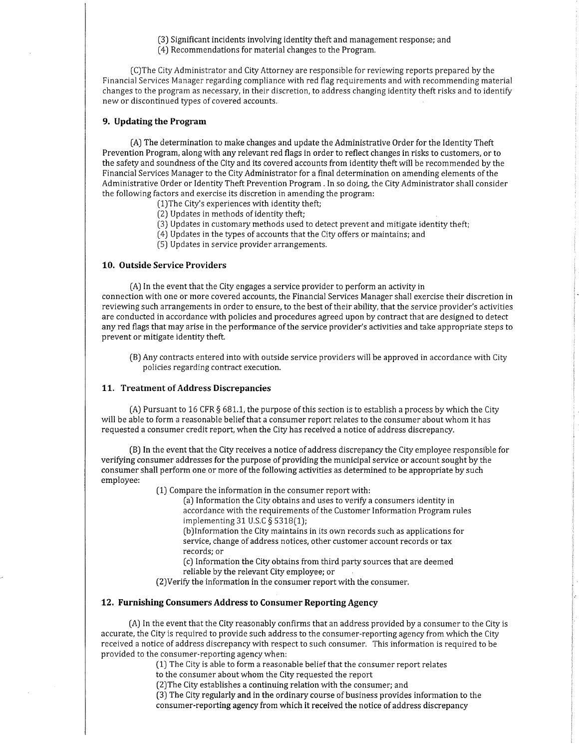(3J Significant incidents involving identity theft and management response; and

(4j Recommendations for material changes to the Program.

ICJThe City Administrator and City Attorney are responsible for reviewing reports prepared by the Financiaì Services Manager regarding compliance with red flag requirements and with recommending material changes to the program as necessary, in their discretion, to address changing identity theft risks and to identify new or discontinued types of covered accounts.

## 9. Updating the Program

(AJ The determination to make changes and update the Administrative Order for the Identity Theft Prevention Program, along with any relevant red flags in order to reflect changes in risks to customers, or to the safety and soundness of the City and its covered accounts from identity theft will be recommended by the Financial Services Manager to the City Administrator for a final determination on amending elements of the Administrative Order or Identity Theft Prevention Program . In so doing, the City Administrator shall consider the following factors and exercise its discretion in amending the program:

- [1)The City's experiences with identity theft;
- (2) Updates in methods of identity theft;
- [3) Updates in customary methods used to detect prevent and mitigate identity theft;
- [4) Updates in the types ofaccounts that the City offers or maintains; and
- [5) Updates in service provider arrangements.

## 10. Outside Service Providers

(A) In the event that the City engages a service provider to perform an activity in connection with one or more covered accounts, the Financial Services Manager shall exercise their discretion in reviewing such arrangements in order to ensure, to the best of their ability, that the service provider's activities are conducted in accordance with policies and procedures agreed upon by contract that are designed to detect any red flags that may arise in the performance of the service provider's activities and take appropriate steps to prevent or mitigate identity theft.

(BJ Any contracts entered into with outside service providers will be approved in accordance with City policies regarding contract execution.

## 11. Treatment of Address Discrepancies

(A) Pursuant to 16 CFR  $\S 681.1$ , the purpose of this section is to establish a process by which the City will be able to form a reasonable belief that a consumer report relates to the consumer about whom it has requested a consumer credit report, when the City has received a notice of address discrepancy.

(B) In the event that the City receives a notice of address discrepancy the City employee responsible for verifying consumer addresses for the purpose of providing the municipal service or account sought by the consumer shall perform one or more of the following activities as determined to be appropriate by such employee:

(1) Compare the information in the consumer report with:

(a) Information the City obtains and uses to verify a consumers identity in accordance with the requirements of the Customer Information Program rules implementing 31 U.S.C § 5318(1);

(bJlnformation the City maintains in its own records such as applications for service, change of address notices, other customer account records or tax records; or

(c) Information the City obtains from third party sources that are deemed reliable by the relevant City employee; or

[ZJVerify the information in the consumer report with the consumer,

#### 12. Furnishing Consumers Address to Consumer Reporting Agency

(AJ ln the event that the City reasonably confirms that an address provided by a consumer to the City is accurate, the City is required to provide such address to the consumer-reporting agency from which the City received a notice of address discrepancy with respect to such consumer. This information is required to be provided to the consumer-reporting agencywhen:

(1] The City is able to form a reasonable beliefthat the consumer report relates

to the consumer about whom the City requested the report

[2JThe City establishes a continuing relation with the consumer; and

(3) The City regularly and in the ordinary course of business provides information to the consumer-reporting agency from which it received the notice of address discrepancy